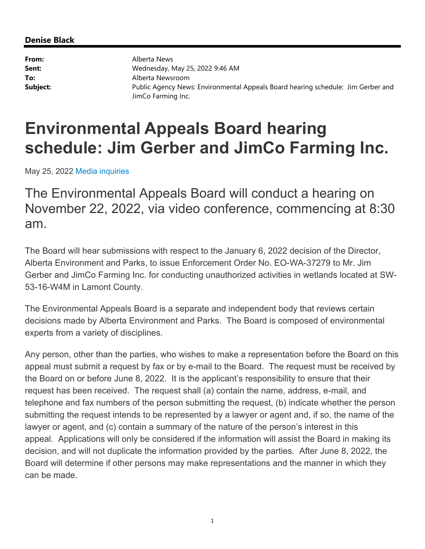#### **Denise Black**

**From:** Alberta News **Sent:** Wednesday, May 25, 2022 9:46 AM **To:** Alberta Newsroom **Subject:** Public Agency News: Environmental Appeals Board hearing schedule: Jim Gerber and JimCo Farming Inc.

# **Environmental Appeals Board hearing schedule: Jim Gerber and JimCo Farming Inc.**

May 25, 2022 Media inquiries

The Environmental Appeals Board will conduct a hearing on November 22, 2022, via video conference, commencing at 8:30 am.

The Board will hear submissions with respect to the January 6, 2022 decision of the Director, Alberta Environment and Parks, to issue Enforcement Order No. EO-WA-37279 to Mr. Jim Gerber and JimCo Farming Inc. for conducting unauthorized activities in wetlands located at SW-53-16-W4M in Lamont County.

The Environmental Appeals Board is a separate and independent body that reviews certain decisions made by Alberta Environment and Parks. The Board is composed of environmental experts from a variety of disciplines.

Any person, other than the parties, who wishes to make a representation before the Board on this appeal must submit a request by fax or by e-mail to the Board. The request must be received by the Board on or before June 8, 2022. It is the applicant's responsibility to ensure that their request has been received. The request shall (a) contain the name, address, e-mail, and telephone and fax numbers of the person submitting the request, (b) indicate whether the person submitting the request intends to be represented by a lawyer or agent and, if so, the name of the lawyer or agent, and (c) contain a summary of the nature of the person's interest in this appeal. Applications will only be considered if the information will assist the Board in making its decision, and will not duplicate the information provided by the parties. After June 8, 2022, the Board will determine if other persons may make representations and the manner in which they can be made.